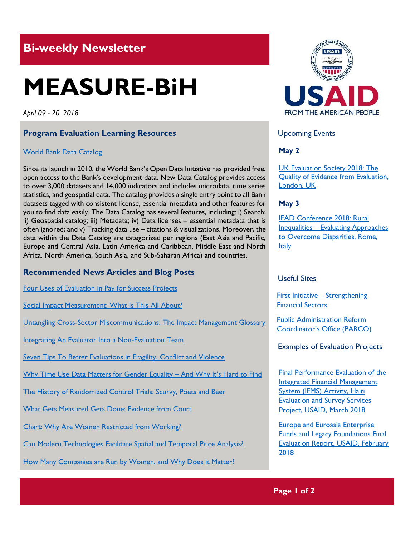# **Bi-weekly Newsletter**

# **MEASURE-BiH**

*April 09 - 20, 2018*

#### **Program Evaluation Learning Resources**

#### World [Bank Data Catalog](https://datacatalog.worldbank.org/)

Since its launch in 2010, the World Bank's Open Data Initiative has provided free, open access to the Bank's development data. New Data Catalog provides access to over 3,000 datasets and 14,000 indicators and includes microdata, time series statistics, and geospatial data. The catalog provides a single entry point to all Bank datasets tagged with consistent license, essential metadata and other features for you to find data easily. The Data Catalog has several features, including: i) Search; ii) Geospatial catalog; iii) Metadata; iv) Data licenses – essential metadata that is often ignored; and v) Tracking data use – citations & visualizations. Moreover, the data within the Data Catalog are categorized per regions (East Asia and Pacific, Europe and Central Asia, Latin America and Caribbean, Middle East and North Africa, North America, South Asia, and Sub-Saharan Africa) and countries.

#### **Recommended News Articles and Blog Posts**

[Four Uses of Evaluation in Pay for Success Projects](http://aea365.org/blog/four-uses-of-evaluation-in-pay-for-success-projects-by-brian-beachkofski/?utm_source=feedburner&utm_medium=feed&utm_campaign=Feed%3A+aea365+%28AEA365%29)

[Social Impact Measurement: What Is This All About?](http://aea365.org/blog/social-impact-measurement-what-is-this-all-about-by-jane-reisman-and-alyna-wyatt/?utm_source=feedburner&utm_medium=feed&utm_campaign=Feed%3A+aea365+%28AEA365%29)

[Untangling Cross-Sector Miscommunications: The Impact Management Glossary](http://aea365.org/blog/untangling-cross-sector-miscommunications-the-impact-management-glossary-by-michael-harnar/?utm_source=feedburner&utm_medium=feed&utm_campaign=Feed%3A+aea365+%28AEA365%29)

[Integrating An Evaluator Into a Non-Evaluation Team](http://aea365.org/blog/integrating-an-evaluator-into-a-non-evaluation-team-by-courtney-bolinson-and-muthoni-wachira/?utm_source=feedburner&utm_medium=feed&utm_campaign=Feed%3A+aea365+%28AEA365%29)

[Seven Tips To Better Evaluations in Fragility, Conflict and Violence](http://aea365.org/blog/icce-week-seven-tips-to-better-evaluations-in-fragility-conflict-and-violence-by-keiko-kuji-shikatani-and-hur-hassnain/)

[Why Time Use Data Matters for Gender Equality](https://blogs.worldbank.org/opendata/why-time-use-data-matters-gender-equality-and-why-it-s-hard-find) - And Why It's Hard to Find

[The History of Randomized Control Trials: Scurvy, Poets and Beer](https://blogs.worldbank.org/impactevaluations/history-randomized-control-trials-scurvy-poets-and-beer)

[What Gets Measured Gets Done: Evidence from Court](https://blogs.worldbank.org/developmenttalk/what-gets-measured-gets-done-evidence-court)

[Chart: Why Are Women Restricted from Working?](http://blogs.worldbank.org/opendata/chart-why-are-women-restricted-working)

[Can Modern Technologies Facilitate Spatial and Temporal Price Analysis?](http://blogs.worldbank.org/opendata/can-modern-technologies-facilitate-spatial-and-temporal-price-analysis)

[How Many Companies are Run by Women, and Why Does it Matter?](http://blogs.worldbank.org/opendata/how-many-companies-are-run-women-and-why-does-it-matter-0)



Upcoming Events

## **May 2**

[UK Evaluation Society 2018: The](http://www.profbriefings.co.uk/ukes2018/index.html)  [Quality of Evidence from Evaluation,](http://www.profbriefings.co.uk/ukes2018/index.html)  [London, UK](http://www.profbriefings.co.uk/ukes2018/index.html)

#### **May 3**

[IFAD Conference 2018: Rural](https://www.ifad.org/web/events/rural-inequalities)  Inequalities – [Evaluating Approaches](https://www.ifad.org/web/events/rural-inequalities)  [to Overcome Disparities, Rome,](https://www.ifad.org/web/events/rural-inequalities)  **Italy** 

#### Useful Sites

First Initiative – [Strengthening](http://www.firstinitiative.org/)  [Financial Sectors](http://www.firstinitiative.org/)

[Public Administration Reform](http://parco.gov.ba/en/)  [Coordinator's Office \(PARCO\)](http://parco.gov.ba/en/)

Examples of Evaluation Projects

[Final Performance Evaluation of the](https://pdf.usaid.gov/pdf_docs/PA00SXH8.pdf)  [Integrated Financial Management](https://pdf.usaid.gov/pdf_docs/PA00SXH8.pdf)  [System \(IFMS\) Activity, Haiti](https://pdf.usaid.gov/pdf_docs/PA00SXH8.pdf)  **Evaluation and Survey Services** [Project, USAID, March 2018](https://pdf.usaid.gov/pdf_docs/PA00SXH8.pdf)

[Europe and Euroasia Enterprise](https://pdf.usaid.gov/pdf_docs/PA00STKC.pdf)  [Funds and Legacy Foundations Final](https://pdf.usaid.gov/pdf_docs/PA00STKC.pdf)  [Evaluation Report, USAID, February](https://pdf.usaid.gov/pdf_docs/PA00STKC.pdf)  [2018](https://pdf.usaid.gov/pdf_docs/PA00STKC.pdf)